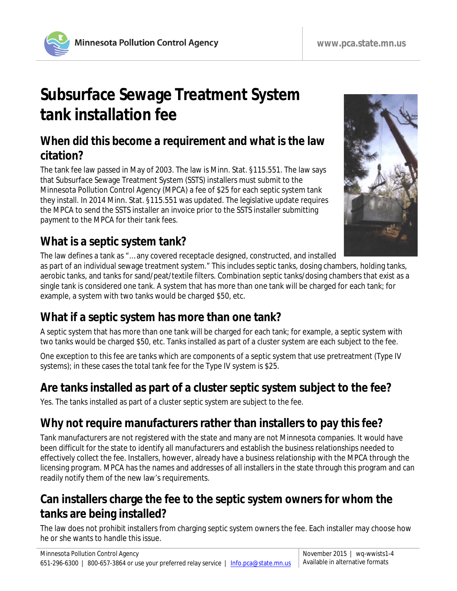

# **Subsurface Sewage Treatment System tank installation fee**

#### **When did this become a requirement and what is the law citation?**

The tank fee law passed in May of 2003. The law is Minn. Stat. §115.551. The law says that Subsurface Sewage Treatment System (SSTS) installers must submit to the Minnesota Pollution Control Agency (MPCA) a fee of \$25 for each septic system tank they install. In 2014 Minn. Stat. §115.551 was updated. The legislative update requires the MPCA to send the SSTS installer an invoice prior to the SSTS installer submitting payment to the MPCA for their tank fees.

#### **What is a septic system tank?**

The law defines a tank as "… any covered receptacle designed, constructed, and installed

as part of an individual sewage treatment system." This includes septic tanks, dosing chambers, holding tanks, aerobic tanks, and tanks for sand/peat/textile filters. Combination septic tanks/dosing chambers that exist as a single tank is considered one tank. A system that has more than one tank will be charged for each tank; for example, a system with two tanks would be charged \$50, etc.

## **What if a septic system has more than one tank?**

A septic system that has more than one tank will be charged for each tank; for example, a septic system with two tanks would be charged \$50, etc. Tanks installed as part of a cluster system are each subject to the fee.

One exception to this fee are tanks which are components of a septic system that use pretreatment (Type IV systems); in these cases the total tank fee for the Type IV system is \$25.

## **Are tanks installed as part of a cluster septic system subject to the fee?**

Yes. The tanks installed as part of a cluster septic system are subject to the fee.

# **Why not require manufacturers rather than installers to pay this fee?**

Tank manufacturers are not registered with the state and many are not Minnesota companies. It would have been difficult for the state to identify all manufacturers and establish the business relationships needed to effectively collect the fee. Installers, however, already have a business relationship with the MPCA through the licensing program. MPCA has the names and addresses of all installers in the state through this program and can readily notify them of the new law's requirements.

## **Can installers charge the fee to the septic system owners for whom the tanks are being installed?**

The law does not prohibit installers from charging septic system owners the fee. Each installer may choose how he or she wants to handle this issue.

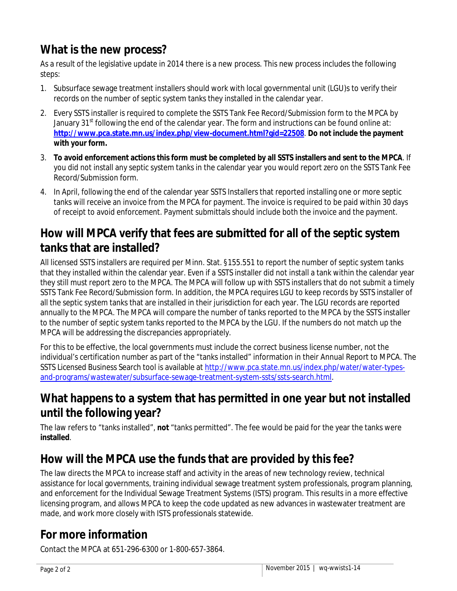## **What is the new process?**

As a result of the legislative update in 2014 there is a new process. This new process includes the following steps:

- 1. Subsurface sewage treatment installers should work with local governmental unit (LGU)s to verify their records on the number of septic system tanks they installed in the calendar year.
- 2. Every SSTS installer is required to complete the SSTS Tank Fee Record/Submission form to the MPCA by January 31<sup>st</sup> following the end of the calendar year. The form and instructions can be found online at: **<http://www.pca.state.mn.us/index.php/view-document.html?gid=22508>**. **Do not include the payment with your form.**
- 3. **To avoid enforcement actions this form must be completed by all SSTS installers and sent to the MPCA**. If you did not install any septic system tanks in the calendar year you would report zero on the SSTS Tank Fee Record/Submission form.
- 4. In April, following the end of the calendar year SSTS Installers that reported installing one or more septic tanks will receive an invoice from the MPCA for payment. The invoice is required to be paid within 30 days of receipt to avoid enforcement. Payment submittals should include both the invoice and the payment.

#### **How will MPCA verify that fees are submitted for all of the septic system tanks that are installed?**

All licensed SSTS installers are required per Minn. Stat. §155.551 to report the number of septic system tanks that they installed within the calendar year. Even if a SSTS installer did not install a tank within the calendar year they still must report zero to the MPCA. The MPCA will follow up with SSTS installers that do not submit a timely SSTS Tank Fee Record/Submission form. In addition, the MPCA requires LGU to keep records by SSTS installer of all the septic system tanks that are installed in their jurisdiction for each year. The LGU records are reported annually to the MPCA. The MPCA will compare the number of tanks reported to the MPCA by the SSTS installer to the number of septic system tanks reported to the MPCA by the LGU. If the numbers do not match up the MPCA will be addressing the discrepancies appropriately.

For this to be effective, the local governments must include the correct business license number, not the individual's certification number as part of the "tanks installed" information in their Annual Report to MPCA. The SSTS Licensed Business Search tool is available at [http://www.pca.state.mn.us/index.php/water/water-types](http://www.pca.state.mn.us/index.php/water/water-types-and-programs/wastewater/subsurface-sewage-treatment-system-ssts/ssts-search.htmlU)[and-programs/wastewater/subsurface-sewage-treatment-system-ssts/ssts-search.html](http://www.pca.state.mn.us/index.php/water/water-types-and-programs/wastewater/subsurface-sewage-treatment-system-ssts/ssts-search.htmlU).

## **What happens to a system that has permitted in one year but not installed until the following year?**

The law refers to "tanks installed", **not** "tanks permitted". The fee would be paid for the year the tanks were **installed**.

## **How will the MPCA use the funds that are provided by this fee?**

The law directs the MPCA to increase staff and activity in the areas of new technology review, technical assistance for local governments, training individual sewage treatment system professionals, program planning, and enforcement for the Individual Sewage Treatment Systems (ISTS) program. This results in a more effective licensing program, and allows MPCA to keep the code updated as new advances in wastewater treatment are made, and work more closely with ISTS professionals statewide.

## **For more information**

Contact the MPCA at 651-296-6300 or 1-800-657-3864.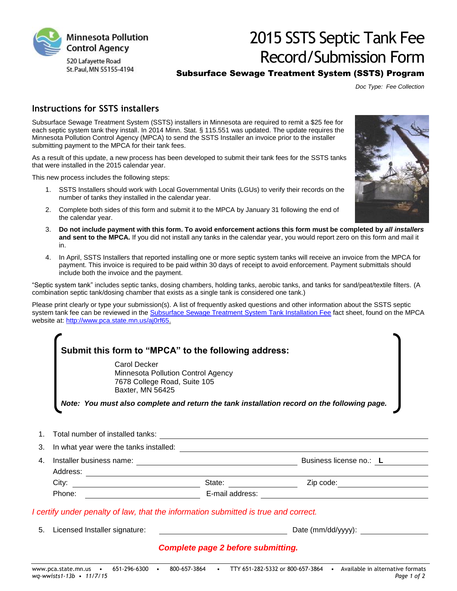

# 2015 SSTS Septic Tank Fee Record/Submission Form

#### Subsurface Sewage Treatment System (SSTS) Program

*Doc Type: Fee Collection*

#### **Instructions for SSTS installers**

Subsurface Sewage Treatment System (SSTS) installers in Minnesota are required to remit a \$25 fee for each septic system tank they install. In 2014 Minn. Stat. § 115.551 was updated. The update requires the Minnesota Pollution Control Agency (MPCA) to send the SSTS Installer an invoice prior to the installer submitting payment to the MPCA for their tank fees.

As a result of this update, a new process has been developed to submit their tank fees for the SSTS tanks that were installed in the 2015 calendar year.

This new process includes the following steps:

- 1. SSTS Installers should work with Local Governmental Units (LGUs) to verify their records on the number of tanks they installed in the calendar year.
- 2. Complete both sides of this form and submit it to the MPCA by January 31 following the end of the calendar year.
- 3. **Do not include payment with this form. To avoid enforcement actions this form must be completed by** *all installers* **and sent to the MPCA.** If you did not install any tanks in the calendar year, you would report zero on this form and mail it in.
- 4. In April, SSTS Installers that reported installing one or more septic system tanks will receive an invoice from the MPCA for payment. This invoice is required to be paid within 30 days of receipt to avoid enforcement. Payment submittals should include both the invoice and the payment.

"Septic system tank" includes septic tanks, dosing chambers, holding tanks, aerobic tanks, and tanks for sand/peat/textile filters. (A combination septic tank/dosing chamber that exists as a single tank is considered one tank.)

Please print clearly or type your submission(s). A list of frequently asked questions and other information about the SSTS septic system tank fee can be reviewed in the [Subsurface Sewage Treatment System Tank Installation Fee](http://www.pca.state.mn.us/index.php/view-document.html?gid=5257) fact sheet, found on the MPCA website at: [http://www.pca.state.mn.us/aj0rf65.](http://www.pca.state.mn.us/aj0rf65)

| <b>Carol Decker</b><br>Minnesota Pollution Control Agency<br>7678 College Road, Suite 105<br>Baxter, MN 56425 |        |                                                                                             |
|---------------------------------------------------------------------------------------------------------------|--------|---------------------------------------------------------------------------------------------|
|                                                                                                               |        | Note: You must also complete and return the tank installation record on the following page. |
|                                                                                                               |        |                                                                                             |
| In what year were the tanks installed:<br>                                                                    |        |                                                                                             |
|                                                                                                               |        | Business license no.: L                                                                     |
|                                                                                                               |        | Zip code: <u>_______________</u>                                                            |
|                                                                                                               | State: |                                                                                             |

#### *Complete page 2 before submitting.*